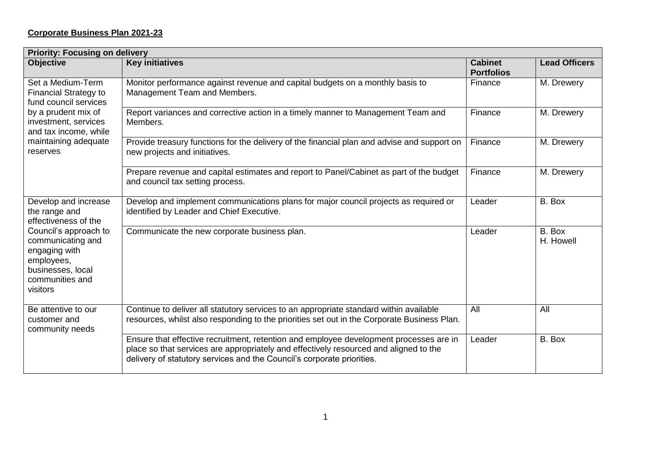## **Corporate Business Plan 2021-23**

| <b>Priority: Focusing on delivery</b>                                                                                                                                                          |                                                                                                                                                                                                                                                           |                                     |                      |  |
|------------------------------------------------------------------------------------------------------------------------------------------------------------------------------------------------|-----------------------------------------------------------------------------------------------------------------------------------------------------------------------------------------------------------------------------------------------------------|-------------------------------------|----------------------|--|
| <b>Objective</b>                                                                                                                                                                               | <b>Key initiatives</b>                                                                                                                                                                                                                                    | <b>Cabinet</b><br><b>Portfolios</b> | <b>Lead Officers</b> |  |
| Set a Medium-Term<br><b>Financial Strategy to</b><br>fund council services<br>by a prudent mix of<br>investment, services<br>and tax income, while<br>maintaining adequate<br>reserves         | Monitor performance against revenue and capital budgets on a monthly basis to<br>Management Team and Members.                                                                                                                                             | Finance                             | M. Drewery           |  |
|                                                                                                                                                                                                | Report variances and corrective action in a timely manner to Management Team and<br>Members.                                                                                                                                                              | Finance                             | M. Drewery           |  |
|                                                                                                                                                                                                | Provide treasury functions for the delivery of the financial plan and advise and support on<br>new projects and initiatives.                                                                                                                              | Finance                             | M. Drewery           |  |
|                                                                                                                                                                                                | Prepare revenue and capital estimates and report to Panel/Cabinet as part of the budget<br>and council tax setting process.                                                                                                                               | Finance                             | M. Drewery           |  |
| Develop and increase<br>the range and<br>effectiveness of the<br>Council's approach to<br>communicating and<br>engaging with<br>employees,<br>businesses, local<br>communities and<br>visitors | Develop and implement communications plans for major council projects as required or<br>identified by Leader and Chief Executive.                                                                                                                         | Leader                              | B. Box               |  |
|                                                                                                                                                                                                | Communicate the new corporate business plan.                                                                                                                                                                                                              | Leader                              | B. Box<br>H. Howell  |  |
| Be attentive to our<br>customer and<br>community needs                                                                                                                                         | Continue to deliver all statutory services to an appropriate standard within available<br>resources, whilst also responding to the priorities set out in the Corporate Business Plan.                                                                     | All                                 | All                  |  |
|                                                                                                                                                                                                | Ensure that effective recruitment, retention and employee development processes are in<br>place so that services are appropriately and effectively resourced and aligned to the<br>delivery of statutory services and the Council's corporate priorities. | Leader                              | B. Box               |  |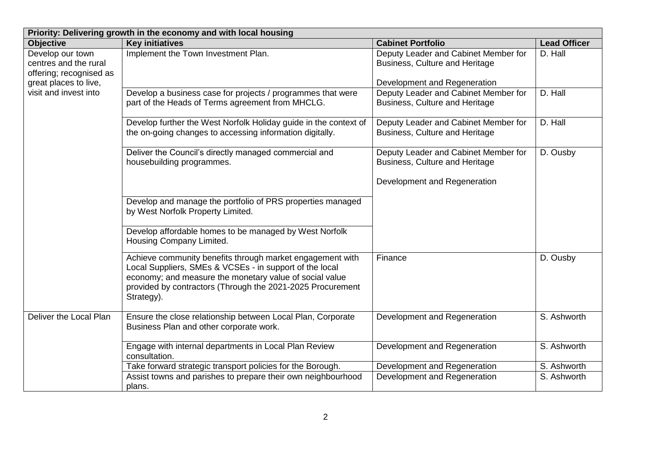| Priority: Delivering growth in the economy and with local housing    |                                                                                                                                                                                                                                                             |                                                                                                        |                     |
|----------------------------------------------------------------------|-------------------------------------------------------------------------------------------------------------------------------------------------------------------------------------------------------------------------------------------------------------|--------------------------------------------------------------------------------------------------------|---------------------|
| <b>Objective</b>                                                     | <b>Key initiatives</b>                                                                                                                                                                                                                                      | <b>Cabinet Portfolio</b>                                                                               | <b>Lead Officer</b> |
| Develop our town<br>centres and the rural<br>offering; recognised as | Implement the Town Investment Plan.                                                                                                                                                                                                                         | Deputy Leader and Cabinet Member for<br>Business, Culture and Heritage                                 | D. Hall             |
| great places to live,<br>visit and invest into                       | Develop a business case for projects / programmes that were<br>part of the Heads of Terms agreement from MHCLG.                                                                                                                                             | Development and Regeneration<br>Deputy Leader and Cabinet Member for<br>Business, Culture and Heritage | D. Hall             |
|                                                                      | Develop further the West Norfolk Holiday guide in the context of<br>the on-going changes to accessing information digitally.                                                                                                                                | Deputy Leader and Cabinet Member for<br>Business, Culture and Heritage                                 | D. Hall             |
|                                                                      | Deliver the Council's directly managed commercial and<br>housebuilding programmes.                                                                                                                                                                          | Deputy Leader and Cabinet Member for<br>Business, Culture and Heritage                                 | D. Ousby            |
|                                                                      |                                                                                                                                                                                                                                                             | Development and Regeneration                                                                           |                     |
|                                                                      | Develop and manage the portfolio of PRS properties managed<br>by West Norfolk Property Limited.                                                                                                                                                             |                                                                                                        |                     |
|                                                                      | Develop affordable homes to be managed by West Norfolk<br>Housing Company Limited.                                                                                                                                                                          |                                                                                                        |                     |
|                                                                      | Achieve community benefits through market engagement with<br>Local Suppliers, SMEs & VCSEs - in support of the local<br>economy; and measure the monetary value of social value<br>provided by contractors (Through the 2021-2025 Procurement<br>Strategy). | Finance                                                                                                | D. Ousby            |
| Deliver the Local Plan                                               | Ensure the close relationship between Local Plan, Corporate<br>Business Plan and other corporate work.                                                                                                                                                      | Development and Regeneration                                                                           | S. Ashworth         |
|                                                                      | Engage with internal departments in Local Plan Review<br>consultation.                                                                                                                                                                                      | Development and Regeneration                                                                           | S. Ashworth         |
|                                                                      | Take forward strategic transport policies for the Borough.                                                                                                                                                                                                  | Development and Regeneration                                                                           | S. Ashworth         |
|                                                                      | Assist towns and parishes to prepare their own neighbourhood<br>plans.                                                                                                                                                                                      | Development and Regeneration                                                                           | S. Ashworth         |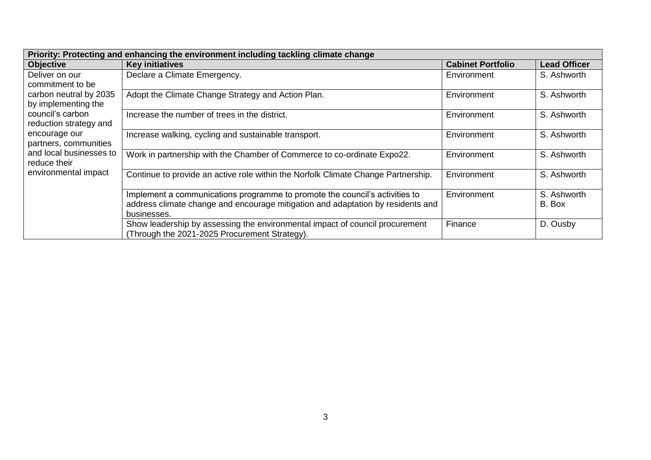| Priority: Protecting and enhancing the environment including tackling climate change |                                                                                   |                          |                     |
|--------------------------------------------------------------------------------------|-----------------------------------------------------------------------------------|--------------------------|---------------------|
| <b>Objective</b>                                                                     | <b>Key initiatives</b>                                                            | <b>Cabinet Portfolio</b> | <b>Lead Officer</b> |
| Deliver on our                                                                       | Declare a Climate Emergency.                                                      | Environment              | S. Ashworth         |
| commitment to be                                                                     |                                                                                   |                          |                     |
| carbon neutral by 2035                                                               | Adopt the Climate Change Strategy and Action Plan.                                | Environment              | S. Ashworth         |
| by implementing the                                                                  |                                                                                   |                          |                     |
| council's carbon                                                                     | Increase the number of trees in the district.                                     | Environment              | S. Ashworth         |
| reduction strategy and                                                               |                                                                                   |                          |                     |
| encourage our                                                                        | Increase walking, cycling and sustainable transport.                              | Environment              | S. Ashworth         |
| partners, communities                                                                |                                                                                   |                          |                     |
| and local businesses to                                                              | Work in partnership with the Chamber of Commerce to co-ordinate Expo22.           | Environment              | S. Ashworth         |
| reduce their                                                                         |                                                                                   |                          |                     |
| environmental impact                                                                 | Continue to provide an active role within the Norfolk Climate Change Partnership. | Environment              | S. Ashworth         |
|                                                                                      |                                                                                   |                          |                     |
|                                                                                      | Implement a communications programme to promote the council's activities to       | Environment              | S. Ashworth         |
|                                                                                      | address climate change and encourage mitigation and adaptation by residents and   |                          | B. Box              |
|                                                                                      | businesses.                                                                       |                          |                     |
|                                                                                      | Show leadership by assessing the environmental impact of council procurement      | Finance                  | D. Ousby            |
|                                                                                      | (Through the 2021-2025 Procurement Strategy).                                     |                          |                     |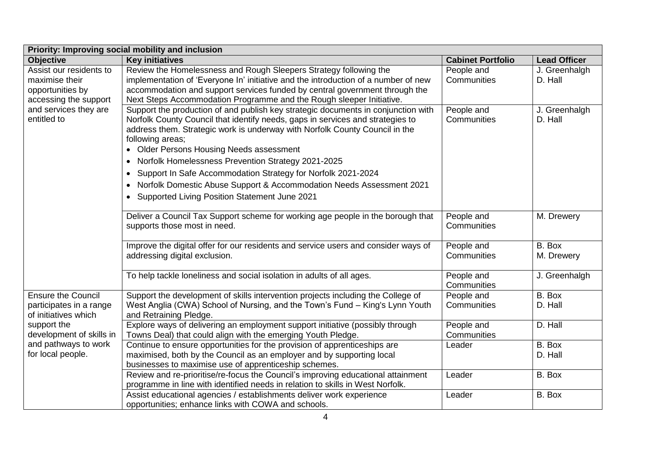| Priority: Improving social mobility and inclusion |                                                                                                                                                                                                                                                                                                                                                                                                                                     |                          |                             |
|---------------------------------------------------|-------------------------------------------------------------------------------------------------------------------------------------------------------------------------------------------------------------------------------------------------------------------------------------------------------------------------------------------------------------------------------------------------------------------------------------|--------------------------|-----------------------------|
| <b>Objective</b>                                  | <b>Key initiatives</b>                                                                                                                                                                                                                                                                                                                                                                                                              | <b>Cabinet Portfolio</b> | <b>Lead Officer</b>         |
| Assist our residents to                           | Review the Homelessness and Rough Sleepers Strategy following the                                                                                                                                                                                                                                                                                                                                                                   | People and               | J. Greenhalgh               |
| maximise their                                    | implementation of 'Everyone In' initiative and the introduction of a number of new                                                                                                                                                                                                                                                                                                                                                  | Communities              | D. Hall                     |
| opportunities by                                  | accommodation and support services funded by central government through the                                                                                                                                                                                                                                                                                                                                                         |                          |                             |
| accessing the support                             | Next Steps Accommodation Programme and the Rough sleeper Initiative.                                                                                                                                                                                                                                                                                                                                                                |                          |                             |
| and services they are                             | Support the production of and publish key strategic documents in conjunction with                                                                                                                                                                                                                                                                                                                                                   | People and               | J. Greenhalgh               |
| entitled to                                       | Norfolk County Council that identify needs, gaps in services and strategies to                                                                                                                                                                                                                                                                                                                                                      | Communities              | D. Hall                     |
|                                                   | address them. Strategic work is underway with Norfolk County Council in the                                                                                                                                                                                                                                                                                                                                                         |                          |                             |
|                                                   | following areas;                                                                                                                                                                                                                                                                                                                                                                                                                    |                          |                             |
|                                                   | • Older Persons Housing Needs assessment                                                                                                                                                                                                                                                                                                                                                                                            |                          |                             |
|                                                   | Norfolk Homelessness Prevention Strategy 2021-2025<br>$\bullet$                                                                                                                                                                                                                                                                                                                                                                     |                          |                             |
|                                                   | Support In Safe Accommodation Strategy for Norfolk 2021-2024<br>$\bullet$                                                                                                                                                                                                                                                                                                                                                           |                          |                             |
|                                                   | Norfolk Domestic Abuse Support & Accommodation Needs Assessment 2021<br>$\bullet$                                                                                                                                                                                                                                                                                                                                                   |                          |                             |
|                                                   | Supported Living Position Statement June 2021<br>$\bullet$                                                                                                                                                                                                                                                                                                                                                                          |                          |                             |
|                                                   |                                                                                                                                                                                                                                                                                                                                                                                                                                     |                          |                             |
|                                                   | Deliver a Council Tax Support scheme for working age people in the borough that                                                                                                                                                                                                                                                                                                                                                     | People and               | M. Drewery                  |
|                                                   | supports those most in need.                                                                                                                                                                                                                                                                                                                                                                                                        | Communities              |                             |
|                                                   |                                                                                                                                                                                                                                                                                                                                                                                                                                     |                          |                             |
|                                                   | Improve the digital offer for our residents and service users and consider ways of                                                                                                                                                                                                                                                                                                                                                  | People and               | B. Box                      |
|                                                   | addressing digital exclusion.                                                                                                                                                                                                                                                                                                                                                                                                       | Communities              | M. Drewery                  |
|                                                   |                                                                                                                                                                                                                                                                                                                                                                                                                                     |                          |                             |
|                                                   | To help tackle loneliness and social isolation in adults of all ages.                                                                                                                                                                                                                                                                                                                                                               | People and               | J. Greenhalgh               |
|                                                   |                                                                                                                                                                                                                                                                                                                                                                                                                                     | Communities              |                             |
| <b>Ensure the Council</b>                         | Support the development of skills intervention projects including the College of                                                                                                                                                                                                                                                                                                                                                    | People and               | B. Box                      |
| participates in a range                           | West Anglia (CWA) School of Nursing, and the Town's Fund - King's Lynn Youth                                                                                                                                                                                                                                                                                                                                                        | Communities              | D. Hall                     |
| of initiatives which                              | and Retraining Pledge.                                                                                                                                                                                                                                                                                                                                                                                                              |                          |                             |
| support the                                       | Explore ways of delivering an employment support initiative (possibly through                                                                                                                                                                                                                                                                                                                                                       | People and               | D. Hall                     |
| development of skills in                          | Towns Deal) that could align with the emerging Youth Pledge.                                                                                                                                                                                                                                                                                                                                                                        | Communities              |                             |
| and pathways to work                              | Continue to ensure opportunities for the provision of apprenticeships are                                                                                                                                                                                                                                                                                                                                                           | Leader                   | B. Box                      |
|                                                   |                                                                                                                                                                                                                                                                                                                                                                                                                                     |                          |                             |
|                                                   |                                                                                                                                                                                                                                                                                                                                                                                                                                     |                          |                             |
|                                                   |                                                                                                                                                                                                                                                                                                                                                                                                                                     |                          |                             |
|                                                   |                                                                                                                                                                                                                                                                                                                                                                                                                                     |                          |                             |
|                                                   |                                                                                                                                                                                                                                                                                                                                                                                                                                     |                          |                             |
| for local people.                                 | maximised, both by the Council as an employer and by supporting local<br>businesses to maximise use of apprenticeship schemes.<br>Review and re-prioritise/re-focus the Council's improving educational attainment<br>programme in line with identified needs in relation to skills in West Norfolk.<br>Assist educational agencies / establishments deliver work experience<br>opportunities; enhance links with COWA and schools. | Leader<br>Leader         | D. Hall<br>B. Box<br>B. Box |